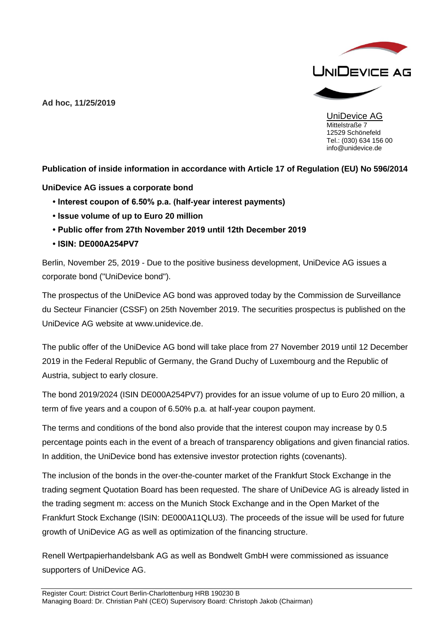

**Ad hoc, 11/25/2019**

UniDevice AG Mittelstraße 7 12529 Schönefeld Tel.: (030) 634 156 00 info@unidevice.de

## **Publication of inside information in accordance with Article 17 of Regulation (EU) No 596/2014**

## **UniDevice AG issues a corporate bond**

- **Interest coupon of 6.50% p.a. (half-year interest payments)**
- **Issue volume of up to Euro 20 million**
- **Public offer from 27th November 2019 until 12th December 2019**
- **ISIN: DE000A254PV7**

Berlin, November 25, 2019 - Due to the positive business development, UniDevice AG issues a corporate bond ("UniDevice bond").

The prospectus of the UniDevice AG bond was approved today by the Commission de Surveillance du Secteur Financier (CSSF) on 25th November 2019. The securities prospectus is published on the UniDevice AG website at [www.unidevice.de.](http://www.unidevice.de/)

The public offer of the UniDevice AG bond will take place from 27 November 2019 until 12 December 2019 in the Federal Republic of Germany, the Grand Duchy of Luxembourg and the Republic of Austria, subject to early closure.

The bond 2019/2024 (ISIN DE000A254PV7) provides for an issue volume of up to Euro 20 million, a term of five years and a coupon of 6.50% p.a. at half-year coupon payment.

The terms and conditions of the bond also provide that the interest coupon may increase by 0.5 percentage points each in the event of a breach of transparency obligations and given financial ratios. In addition, the UniDevice bond has extensive investor protection rights (covenants).

The inclusion of the bonds in the over-the-counter market of the Frankfurt Stock Exchange in the trading segment Quotation Board has been requested. The share of UniDevice AG is already listed in the trading segment m: access on the Munich Stock Exchange and in the Open Market of the Frankfurt Stock Exchange (ISIN: DE000A11QLU3). The proceeds of the issue will be used for future growth of UniDevice AG as well as optimization of the financing structure.

Renell Wertpapierhandelsbank AG as well as Bondwelt GmbH were commissioned as issuance supporters of UniDevice AG.